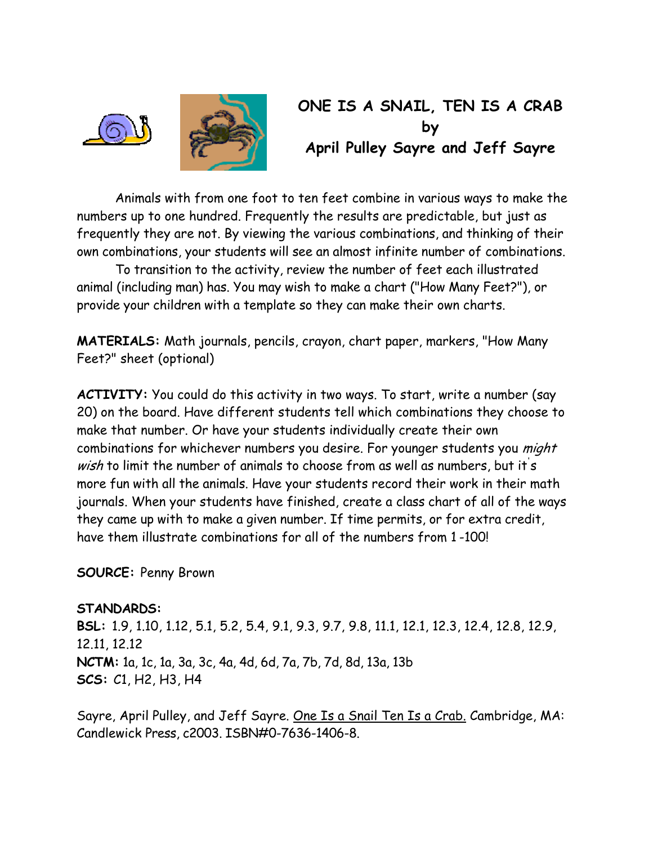



## **ONE IS A SNAIL, TEN IS A CRAB by April Pulley Sayre and Jeff Sayre**

 Animals with from one foot to ten feet combine in various ways to make the numbers up to one hundred. Frequently the results are predictable, but just as frequently they are not. By viewing the various combinations, and thinking of their own combinations, your students will see an almost infinite number of combinations.

 To transition to the activity, review the number of feet each illustrated animal (including man) has. You may wish to make a chart ("How Many Feet?"), or provide your children with a template so they can make their own charts.

**MATERIALS:** Math journals, pencils, crayon, chart paper, markers, "How Many Feet?" sheet (optional)

**ACTIVITY:** You could do this activity in two ways. To start, write a number (say 20) on the board. Have different students tell which combinations they choose to make that number. Or have your students individually create their own combinations for whichever numbers you desire. For younger students you might wish to limit the number of animals to choose from as well as numbers, but it s more fun with all the animals. Have your students record their work in their math journals. When your students have finished, create a class chart of all of the ways they came up with to make a given number. If time permits, or for extra credit, have them illustrate combinations for all of the numbers from 1 -100!

**SOURCE:** Penny Brown

**STANDARDS: BSL:** 1.9, 1.10, 1.12, 5.1, 5.2, 5.4, 9.1, 9.3, 9.7, 9.8, 11.1, 12.1, 12.3, 12.4, 12.8, 12.9, 12.11, 12.12 **NCTM:** 1a, 1c, 1a, 3a, 3c, 4a, 4d, 6d, 7a, 7b, 7d, 8d, 13a, 13b **SCS:** C1, H2, H3, H4

Sayre, April Pulley, and Jeff Sayre. One Is a Snail Ten Is a Crab. Cambridge, MA: Candlewick Press, c2003. ISBN#0-7636-1406-8.